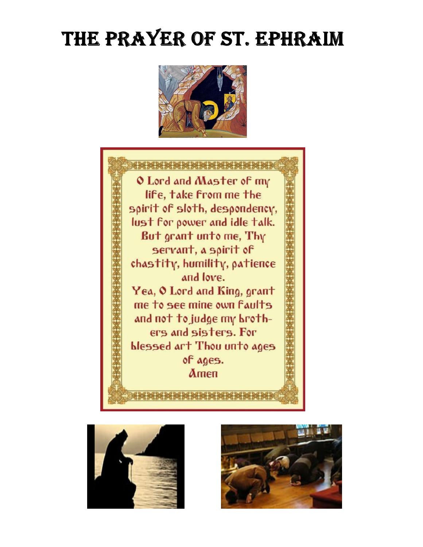## THE PRAYER OF ST. EPHRAIM







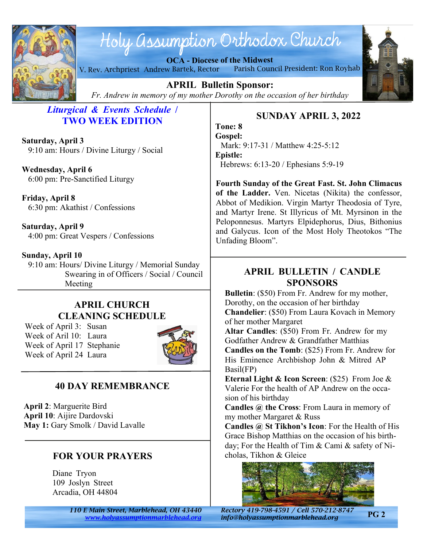

# Holy assumption Orthodox Church

**OCA - Diocese of the Midwest** V. Rev. Archpriest Andrew Bartek, Rector Parish Council President: Ron Royhab



**APRIL Bulletin Sponsor:** *Fr. Andrew in memory of my mother Dorothy on the occasion of her birthday*

## *Liturgical & Events Schedule* **/ TWO WEEK EDITION**

**Saturday, April 3** 9:10 am: Hours / Divine Liturgy / Social

**Wednesday, April 6** 6:00 pm: Pre-Sanctified Liturgy

**Friday, April 8** 6:30 pm: Akathist / Confessions

**Saturday, April 9** 4:00 pm: Great Vespers / Confessions

#### **Sunday, April 10**

 9:10 am: Hours/ Divine Liturgy / Memorial Sunday Swearing in of Officers / Social / Council Meeting

## **APRIL CHURCH CLEANING SCHEDULE**

Week of April 3: Susan Week of Aril 10: Laura Week of April 17 Stephanie Week of April 24 Laura



## **40 DAY REMEMBRANCE**

**April 2**: Marguerite Bird **April 10**: Aijire Dardovski **May 1:** Gary Smolk / David Lavalle

## **FOR YOUR PRAYERS**

Diane Tryon 109 Joslyn Street Arcadia, OH 44804

> *110 E Main Street, Marblehead, OH 43440 Rectory 419-798-4591 / Cell 570-212-8747 <www.holyassumptionmarblehead.org> info@holyassumptionmarblehead.org*

## **SUNDAY APRIL 3, 2022**

**Tone: 8 Gospel:** Mark: 9:17-31 / Matthew 4:25-5:12 **Epistle:** Hebrews: 6:13-20 / Ephesians 5:9-19

**Fourth Sunday of the Great Fast. St. John Climacus of the Ladder.** Ven. Nicetas (Nikita) the confessor, Abbot of Medikion. Virgin Martyr Theodosia of Tyre, and Martyr Irene. St Illyricus of Mt. Myrsinon in the Peloponnesus. Martyrs Elpidephorus, Dius, Bithonius and Galycus. Icon of the Most Holy Theotokos "The Unfading Bloom".

#### **APRIL BULLETIN / CANDLE SPONSORS**

**Bulletin**: (\$50) From Fr. Andrew for my mother, Dorothy, on the occasion of her birthday **Chandelier**: (\$50) From Laura Kovach in Memory of her mother Margaret

**Altar Candles**: (\$50) From Fr. Andrew for my Godfather Andrew & Grandfather Matthias **Candles on the Tomb**: (\$25) From Fr. Andrew for His Eminence Archbishop John & Mitred AP Basil(FP)

**Eternal Light & Icon Screen**: (\$25) From Joe & Valerie For the health of AP Andrew on the occasion of his birthday

**Candles @ the Cross**: From Laura in memory of my mother Margaret & Russ

**Candles @ St Tikhon's Icon**: For the Health of His Grace Bishop Matthias on the occasion of his birthday; For the Health of Tim & Cami & safety of Nicholas, Tikhon & Gleice



**PG 2**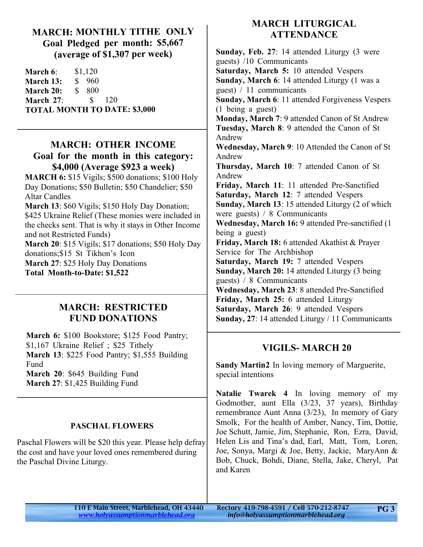#### **MARCH: MONTHLY TITHE ONLY Goal Pledged per month: \$5,667 (average of \$1,307 per week)**

**March 6:** \$1,120 **March 13:** \$ 960 **March 20:** \$ 800 **March 27**: \$ 120 **TOTAL MONTH TO DATE: \$3,000**

#### **MARCH: OTHER INCOME Goal for the month in this category: \$4,000 (Average \$923 a week)**

**MARCH 6:** \$15 Vigils; \$500 donations; \$100 Holy Day Donations; \$50 Bulletin; \$50 Chandelier; \$50 Altar Candles

**March 13**: \$60 Vigils; \$150 Holy Day Donation; \$425 Ukraine Relief (These monies were included in the checks sent. That is why it stays in Other Income and not Restricted Funds)

**March 20**: \$15 Vigils; \$17 donations; \$50 Holy Day donations;\$15 St Tikhon's Icon **March 27**: \$25 Holy Day Donations **Total Month-to-Date: \$1,522**

#### **MARCH: RESTRICTED FUND DONATIONS**

**March 6:** \$100 Bookstore; \$125 Food Pantry; \$1,167 Ukraine Relief ; \$25 Tithely **March 13**: \$225 Food Pantry; \$1,555 Building Fund **March 20**: \$645 Building Fund **March 27**: \$1,425 Building Fund

#### **PASCHAL FLOWERS**

Paschal Flowers will be \$20 this year. Please help defray the cost and have your loved ones remembered during the Paschal Divine Liturgy.

#### **MARCH LITURGICAL ATTENDANCE**

**Sunday, Feb. 27**: 14 attended Liturgy (3 were guests) /10 Communicants **Saturday, March 5:** 10 attended Vespers **Sunday, March 6**: 14 attended Liturgy (1 was a guest) / 11 communicants **Sunday, March 6**: 11 attended Forgiveness Vespers (1 being a guest) **Monday, March 7**: 9 attended Canon of St Andrew **Tuesday, March 8**: 9 attended the Canon of St Andrew **Wednesday, March 9**: 10 Attended the Canon of St Andrew **Thursday, March 10**: 7 attended Canon of St Andrew **Friday, March 11**: 11 attended Pre-Sanctified **Saturday, March 12**: 7 attended Vespers **Sunday, March 13**: 15 attended Liturgy (2 of which were guests) / 8 Communicants **Wednesday, March 16:** 9 attended Pre-sanctified (1 being a guest) **Friday, March 18:** 6 attended Akathist & Prayer Service for The Archbishop **Saturday, March 19:** 7 attended Vespers **Sunday, March 20:** 14 attended Liturgy (3 being guests) / 8 Communicants **Wednesday, March 23**: 8 attended Pre-Sanctified **Friday, March 25:** 6 attended Liturgy **Saturday, March 26**: 9 attended Vespers **Sunday, 27**: 14 attended Liturgy / 11 Communicants

## **VIGILS- MARCH 20**

**Sandy Martin2** In loving memory of Marguerite, special intentions

**Natalie Twarek 4** In loving memory of my Godmother, aunt Ella (3/23, 37 years), Birthday remembrance Aunt Anna (3/23), In memory of Gary Smolk, For the health of Amber, Nancy, Tim, Dottie, Joe Schutt, Jamie, Jim, Stephanie, Ron, Ezra, David, Helen Lis and Tina's dad, Earl, Matt, Tom, Loren, Joe, Sonya, Margi & Joe, Betty, Jackie, MaryAnn & Bob, Chuck, Bohdi, Diane, Stella, Jake, Cheryl, Pat and Karen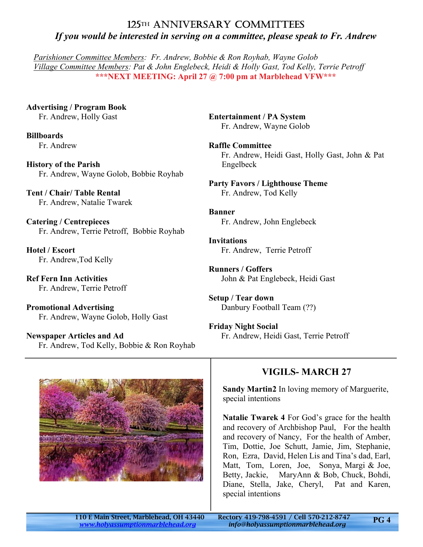## 125TH ANNIVERSARY COMMITTEES *If you would be interested in serving on a committee, please speak to Fr. Andrew*

*Parishioner Committee Members: Fr. Andrew, Bobbie & Ron Royhab, Wayne Golob Village Committee Members: Pat & John Englebeck, Heidi & Holly Gast, Tod Kelly, Terrie Petroff* **\*\*\*NEXT MEETING: April 27 @ 7:00 pm at Marblehead VFW\*\*\***

**Advertising / Program Book** Fr. Andrew, Holly Gast

**Billboards** Fr. Andrew

**History of the Parish** Fr. Andrew, Wayne Golob, Bobbie Royhab

**Tent / Chair/ Table Rental** Fr. Andrew, Natalie Twarek

**Catering / Centrepieces** Fr. Andrew, Terrie Petroff, Bobbie Royhab

**Hotel / Escort** Fr. Andrew,Tod Kelly

**Ref Fern Inn Activities** Fr. Andrew, Terrie Petroff

**Promotional Advertising** Fr. Andrew, Wayne Golob, Holly Gast

**Newspaper Articles and Ad** Fr. Andrew, Tod Kelly, Bobbie & Ron Royhab **Entertainment / PA System** Fr. Andrew, Wayne Golob

**Raffle Committee** Fr. Andrew, Heidi Gast, Holly Gast, John & Pat Engelbeck

**Party Favors / Lighthouse Theme** Fr. Andrew, Tod Kelly

**Banner** Fr. Andrew, John Englebeck

**Invitations** Fr. Andrew, Terrie Petroff

**Runners / Goffers** John & Pat Englebeck, Heidi Gast

**Setup / Tear down** Danbury Football Team (??)

**Friday Night Social** Fr. Andrew, Heidi Gast, Terrie Petroff



## **VIGILS- MARCH 27**

**Sandy Martin2** In loving memory of Marguerite, special intentions

**Natalie Twarek 4** For God's grace for the health and recovery of Archbishop Paul, For the health and recovery of Nancy, For the health of Amber, Tim, Dottie, Joe Schutt, Jamie, Jim, Stephanie, Ron, Ezra, David, Helen Lis and Tina's dad, Earl, Matt, Tom, Loren, Joe, Sonya, Margi & Joe, Betty, Jackie, MaryAnn & Bob, Chuck, Bohdi, Diane, Stella, Jake, Cheryl, Pat and Karen, special intentions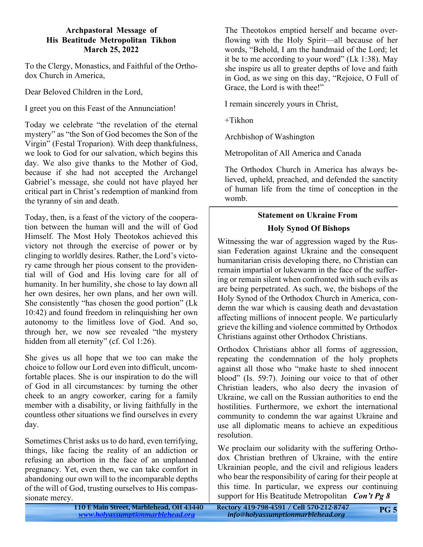#### **Archpastoral Message of His Beatitude Metropolitan Tikhon March 25, 2022**

To the Clergy, Monastics, and Faithful of the Orthodox Church in America,

Dear Beloved Children in the Lord,

I greet you on this Feast of the Annunciation!

Today we celebrate "the revelation of the eternal mystery" as "the Son of God becomes the Son of the Virgin" (Festal Troparion). With deep thankfulness, we look to God for our salvation, which begins this day. We also give thanks to the Mother of God, because if she had not accepted the Archangel Gabriel's message, she could not have played her critical part in Christ's redemption of mankind from the tyranny of sin and death.

Today, then, is a feast of the victory of the cooperation between the human will and the will of God Himself. The Most Holy Theotokos achieved this victory not through the exercise of power or by clinging to worldly desires. Rather, the Lord's victory came through her pious consent to the providential will of God and His loving care for all of humanity. In her humility, she chose to lay down all her own desires, her own plans, and her own will. She consistently "has chosen the good portion" (Lk 10:42) and found freedom in relinquishing her own autonomy to the limitless love of God. And so, through her, we now see revealed "the mystery hidden from all eternity" (cf. Col 1:26).

She gives us all hope that we too can make the choice to follow our Lord even into difficult, uncomfortable places. She is our inspiration to do the will of God in all circumstances: by turning the other cheek to an angry coworker, caring for a family member with a disability, or living faithfully in the countless other situations we find ourselves in every day.

Sometimes Christ asks us to do hard, even terrifying, things, like facing the reality of an addiction or refusing an abortion in the face of an unplanned pregnancy. Yet, even then, we can take comfort in abandoning our own will to the incomparable depths of the will of God, trusting ourselves to His compassionate mercy.

The Theotokos emptied herself and became overflowing with the Holy Spirit—all because of her words, "Behold, I am the handmaid of the Lord; let it be to me according to your word" (Lk 1:38). May she inspire us all to greater depths of love and faith in God, as we sing on this day, "Rejoice, O Full of Grace, the Lord is with thee!"

I remain sincerely yours in Christ,

 $+Tikhon$ 

Archbishop of Washington

Metropolitan of All America and Canada

The Orthodox Church in America has always believed, upheld, preached, and defended the sanctity of human life from the time of conception in the womb.

#### **Statement on Ukraine From Holy Synod Of Bishops**

Witnessing the war of aggression waged by the Russian Federation against Ukraine and the consequent humanitarian crisis developing there, no Christian can remain impartial or lukewarm in the face of the suffering or remain silent when confronted with such evils as are being perpetrated. As such, we, the bishops of the Holy Synod of the Orthodox Church in America, condemn the war which is causing death and devastation affecting millions of innocent people. We particularly grieve the killing and violence committed by Orthodox Christians against other Orthodox Christians.

Orthodox Christians abhor all forms of aggression, repeating the condemnation of the holy prophets against all those who "make haste to shed innocent blood" (Is. 59:7). Joining our voice to that of other Christian leaders, who also decry the invasion of Ukraine, we call on the Russian authorities to end the hostilities. Furthermore, we exhort the international community to condemn the war against Ukraine and use all diplomatic means to achieve an expeditious resolution.

We proclaim our solidarity with the suffering Orthodox Christian brethren of Ukraine, with the entire Ukrainian people, and the civil and religious leaders who bear the responsibility of caring for their people at this time. In particular, we express our continuing support for His Beatitude Metropolitan *Con't Pg 8*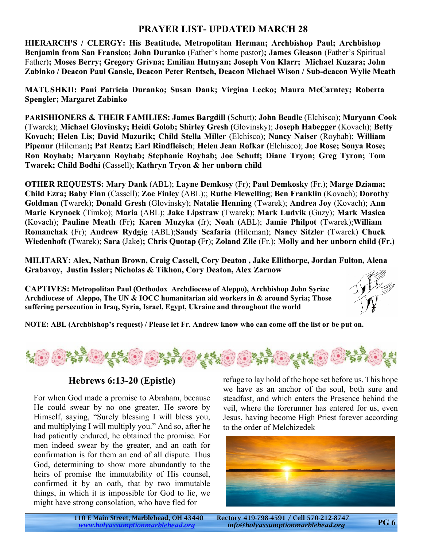#### **PRAYER LIST- UPDATED MARCH 28**

**HIERARCH'S / CLERGY: His Beatitude, Metropolitan Herman; Archbishop Paul; Archbishop Benjamin from San Fransico; John Duranko** (Father's home pastor)**; James Gleason** (Father's Spiritual Father)**; Moses Berry; Gregory Grivna; Emilian Hutnyan; Joseph Von Klarr; Michael Kuzara; John Zabinko / Deacon Paul Gansle, Deacon Peter Rentsch, Deacon Michael Wison / Sub-deacon Wylie Meath**

**MATUSHKII: Pani Patricia Duranko; Susan Dank; Virgina Lecko; Maura McCarntey; Roberta Spengler; Margaret Zabinko**

**PARISHIONERS & THEIR FAMILIES: James Bargdill (**Schutt); **John Beadle** (Elchisco); **Maryann Cook** (Twarek); **Michael Glovinsky; Heidi Golob; Shirley Gresh (**Glovinsky); **Joseph Habegger** (Kovach); **Betty Kovach**; **Helen Lis**; **David Mazurik; Child Stella Miller** (Elchisco); **Nancy Naiser** (Royhab); **William Pipenur** (Hileman)**; Pat Rentz; Earl Rindfleisch**; **Helen Jean Rofkar (**Elchisco); **Joe Rose; Sonya Rose; Ron Royhab; Maryann Royhab; Stephanie Royhab; Joe Schutt; Diane Tryon; Greg Tyron; Tom Twarek; Child Bodhi (**Cassell); **Kathryn Tryon & her unborn child**

**OTHER REQUESTS: Mary Dank** (ABL); **Layne Demkosy** (Fr); **Paul Demkosky** (Fr.); **Marge Dziama; Child Ezra; Baby Finn** (Cassell); **Zoe Finley** (ABL);; **Ruthe Flewelling**; **Ben Franklin** (Kovach); **Dorothy Goldman (**Twarek); **Donald Gresh** (Glovinsky); **Natalie Henning** (Twarek); **Andrea Joy** (Kovach); **Ann Marie Krynock** (Timko); **Maria** (ABL); **Jake Lipstraw** (Twarek); **Mark Ludvik** (Guzy); **Mark Masica (**Kovach); **Pauline Meath** (Fr)**; Karen Muzyka (**fr); **Noah** (ABL); **Jamie Philpot** (Twarek);**William Romanchak** (Fr); **Andrew Rydgi**g (ABL);**Sandy Scafaria** (Hileman); **Nancy Sitzler** (Twarek) **Chuck Wiedenhoft (**Twarek); **Sara** (Jake)**; Chris Quotap (**Fr); **Zoland Zile** (Fr.); **Molly and her unborn child (Fr.)**

**MILITARY: Alex, Nathan Brown, Craig Cassell, Cory Deaton , Jake Ellithorpe, Jordan Fulton, Alena Grabavoy, Justin Issler; Nicholas & Tikhon, Cory Deaton, Alex Zarnow**

**CAPTIVES: Metropolitan Paul (Orthodox Archdiocese of Aleppo), Archbishop John Syriac Archdiocese of Aleppo, The UN & IOCC humanitarian aid workers in & around Syria; Those suffering persecution in Iraq, Syria, Israel, Egypt, Ukraine and throughout the world**



**NOTE: ABL (Archbishop's request) / Please let Fr. Andrew know who can come off the list or be put on.**



#### **Hebrews 6:13-20 (Epistle)**

For when God made a promise to Abraham, because He could swear by no one greater, He swore by Himself, saying, "Surely blessing I will bless you, and multiplying I will multiply you." And so, after he had patiently endured, he obtained the promise. For men indeed swear by the greater, and an oath for confirmation is for them an end of all dispute. Thus God, determining to show more abundantly to the heirs of promise the immutability of His counsel, confirmed it by an oath, that by two immutable things, in which it is impossible for God to lie, we might have strong consolation, who have fled for

refuge to lay hold of the hope set before us. This hope we have as an anchor of the soul, both sure and steadfast, and which enters the Presence behind the veil, where the forerunner has entered for us, even Jesus, having become High Priest forever according to the order of Melchizedek

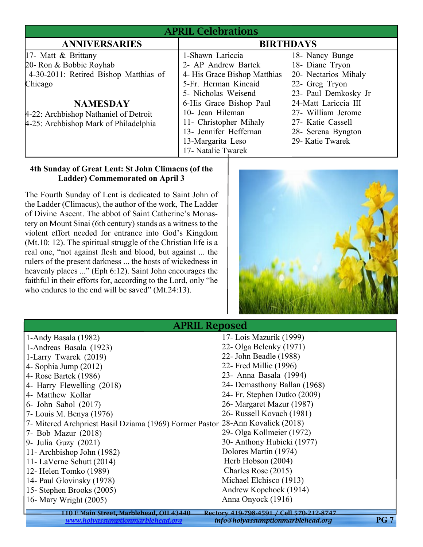|                                                                                                                                                                                                         | <b>APRIL Celebrations</b>                                                                                                                                                                                                                                            |                                                                                                                                                                                                                   |  |
|---------------------------------------------------------------------------------------------------------------------------------------------------------------------------------------------------------|----------------------------------------------------------------------------------------------------------------------------------------------------------------------------------------------------------------------------------------------------------------------|-------------------------------------------------------------------------------------------------------------------------------------------------------------------------------------------------------------------|--|
| <b>ANNIVERSARIES</b>                                                                                                                                                                                    | <b>BIRTHDAYS</b>                                                                                                                                                                                                                                                     |                                                                                                                                                                                                                   |  |
| 17- Matt & Brittany<br>20- Ron & Bobbie Royhab<br>4-30-2011: Retired Bishop Matthias of<br>Chicago<br><b>NAMESDAY</b><br>4-22: Archbishop Nathaniel of Detroit<br>4-25: Archbishop Mark of Philadelphia | 1-Shawn Lariccia<br>2- AP Andrew Bartek<br>4- His Grace Bishop Matthias<br>5-Fr. Herman Kincaid<br>5- Nicholas Weisend<br>6-His Grace Bishop Paul<br>10- Jean Hileman<br>11- Christopher Mihaly<br>13- Jennifer Heffernan<br>13-Margarita Leso<br>17- Natalie Twarek | 18- Nancy Bunge<br>18- Diane Tryon<br>20- Nectarios Mihaly<br>22- Greg Tryon<br>23- Paul Demkosky Jr<br>24-Matt Lariccia III<br>27- William Jerome<br>27- Katie Cassell<br>28- Serena Byngton<br>29- Katie Twarek |  |

#### **4th Sunday of Great Lent: St John Climacus (of the Ladder) Commemorated on April 3**

The Fourth Sunday of Lent is dedicated to Saint John of the Ladder (Climacus), the author of the work, The Ladder of Divine Ascent. The abbot of Saint Catherine's Monastery on Mount Sinai (6th century) stands as a witness to the violent effort needed for entrance into God's Kingdom (Mt.10: 12). The spiritual struggle of the Christian life is a real one, "not against flesh and blood, but against ... the rulers of the present darkness ... the hosts of wickedness in heavenly places ..." (Eph 6:12). Saint John encourages the faithful in their efforts for, according to the Lord, only "he who endures to the end will be saved" (Mt.24:13).



| $\frac{1}{2}$ is the starbood.                                                 |                                          |  |
|--------------------------------------------------------------------------------|------------------------------------------|--|
| 1-Andy Basala (1982)                                                           | 17- Lois Mazurik (1999)                  |  |
| 1-Andreas Basala (1923)                                                        | 22- Olga Belenky (1971)                  |  |
| 1-Larry Twarek (2019)                                                          | 22- John Beadle (1988)                   |  |
| 4- Sophia Jump $(2012)$                                                        | 22- Fred Millie (1996)                   |  |
| 4- Rose Bartek (1986)                                                          | 23- Anna Basala (1994)                   |  |
| 4- Harry Flewelling (2018)                                                     | 24- Demasthony Ballan (1968)             |  |
| 4- Matthew Kollar                                                              | 24- Fr. Stephen Dutko (2009)             |  |
| 6- John Sabol (2017)                                                           | 26- Margaret Mazur (1987)                |  |
| 7- Louis M. Benya (1976)                                                       | 26- Russell Kovach (1981)                |  |
| 7- Mitered Archpriest Basil Dziama (1969) Former Pastor 28-Ann Kovalick (2018) |                                          |  |
| 7- Bob Mazur (2018)                                                            | 29- Olga Kollmeier (1972)                |  |
| 9- Julia Guzy $(2021)$                                                         | 30- Anthony Hubicki (1977)               |  |
| 11- Archbishop John (1982)                                                     | Dolores Martin (1974)                    |  |
| 11- LaVerne Schutt (2014)                                                      | Herb Hobson (2004)                       |  |
| 12- Helen Tomko (1989)                                                         | Charles Rose (2015)                      |  |
| 14- Paul Glovinsky (1978)                                                      | Michael Elchisco (1913)                  |  |
| 15- Stephen Brooks (2005)                                                      | Andrew Kopchock (1914)                   |  |
| 16- Mary Wright (2005)                                                         | Anna Onyock (1916)                       |  |
| 110 E Main Street, Marblehead, OH 43440                                        | Rectory 419-798-4591 / Cell 570-212-8747 |  |
|                                                                                |                                          |  |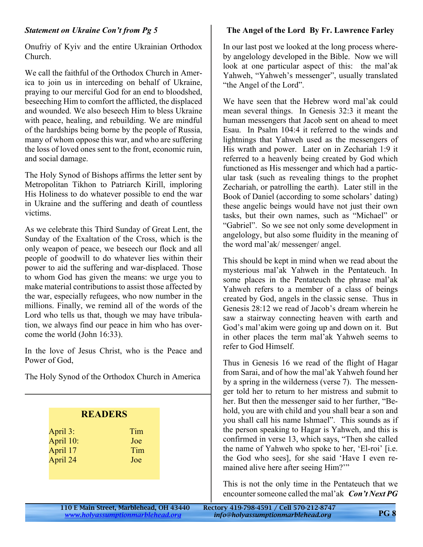#### *Statement on Ukraine Con't from Pg 5*

Onufriy of Kyiv and the entire Ukrainian Orthodox Church.

We call the faithful of the Orthodox Church in America to join us in interceding on behalf of Ukraine, praying to our merciful God for an end to bloodshed, beseeching Him to comfort the afflicted, the displaced and wounded. We also beseech Him to bless Ukraine with peace, healing, and rebuilding. We are mindful of the hardships being borne by the people of Russia, many of whom oppose this war, and who are suffering the loss of loved ones sent to the front, economic ruin, and social damage.

The Holy Synod of Bishops affirms the letter sent by Metropolitan Tikhon to Patriarch Kirill, imploring His Holiness to do whatever possible to end the war in Ukraine and the suffering and death of countless victims.

As we celebrate this Third Sunday of Great Lent, the Sunday of the Exaltation of the Cross, which is the only weapon of peace, we beseech our flock and all people of goodwill to do whatever lies within their power to aid the suffering and war-displaced. Those to whom God has given the means: we urge you to make material contributions to assist those affected by the war, especially refugees, who now number in the millions. Finally, we remind all of the words of the Lord who tells us that, though we may have tribulation, we always find our peace in him who has overcome the world (John 16:33).

In the love of Jesus Christ, who is the Peace and Power of God,

The Holy Synod of the Orthodox Church in America

| <b>READERS</b> |     |  |
|----------------|-----|--|
| April 3:       | Tim |  |
| April 10:      | Joe |  |
| April 17       | Tim |  |
| April 24       | Joe |  |
|                |     |  |
|                |     |  |
|                |     |  |
|                |     |  |

#### **The Angel of the Lord By Fr. Lawrence Farley**

In our last post we looked at the long process whereby angelology developed in the Bible. Now we will look at one particular aspect of this: the mal'ak Yahweh, "Yahweh's messenger", usually translated "the Angel of the Lord".

We have seen that the Hebrew word mal'ak could mean several things. In Genesis 32:3 it meant the human messengers that Jacob sent on ahead to meet Esau. In Psalm 104:4 it referred to the winds and lightnings that Yahweh used as the messengers of His wrath and power. Later on in Zechariah 1:9 it referred to a heavenly being created by God which functioned as His messenger and which had a particular task (such as revealing things to the prophet Zechariah, or patrolling the earth). Later still in the Book of Daniel (according to some scholars' dating) these angelic beings would have not just their own tasks, but their own names, such as "Michael" or "Gabriel". So we see not only some development in angelology, but also some fluidity in the meaning of the word mal'ak/ messenger/ angel.

This should be kept in mind when we read about the mysterious mal'ak Yahweh in the Pentateuch. In some places in the Pentateuch the phrase mal'ak Yahweh refers to a member of a class of beings created by God, angels in the classic sense. Thus in Genesis 28:12 we read of Jacob's dream wherein he saw a stairway connecting heaven with earth and God's mal'akim were going up and down on it. But in other places the term mal'ak Yahweh seems to refer to God Himself.

Thus in Genesis 16 we read of the flight of Hagar from Sarai, and of how the mal'ak Yahweh found her by a spring in the wilderness (verse 7). The messenger told her to return to her mistress and submit to her. But then the messenger said to her further, "Behold, you are with child and you shall bear a son and you shall call his name Ishmael". This sounds as if the person speaking to Hagar is Yahweh, and this is confirmed in verse 13, which says, "Then she called the name of Yahweh who spoke to her, 'El-roi' [i.e. the God who sees], for she said 'Have I even remained alive here after seeing Him?'"

This is not the only time in the Pentateuch that we encounter someone called the mal'ak *Con't Next PG*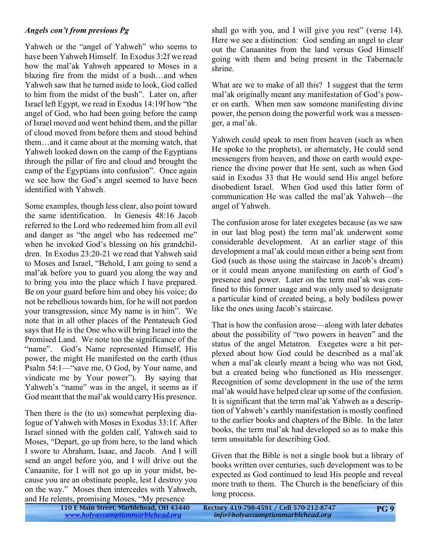#### *Angels con't from previous Pg*

Yahweh or the "angel of Yahweh" who seems to have been Yahweh Himself. In Exodus 3:2f we read how the mal'ak Yahweh appeared to Moses in a blazing fire from the midst of a bush…and when Yahweh saw that he turned aside to look, God called to him from the midst of the bush". Later on, after Israel left Egypt, we read in Exodus 14:19f how "the angel of God, who had been going before the camp of Israel moved and went behind them, and the pillar of cloud moved from before them and stood behind them…and it came about at the morning watch, that Yahweh looked down on the camp of the Egyptians through the pillar of fire and cloud and brought the camp of the Egyptians into confusion". Once again we see how the God's angel seemed to have been identified with Yahweh.

Some examples, though less clear, also point toward the same identification. In Genesis 48:16 Jacob referred to the Lord who redeemed him from all evil and danger as "the angel who has redeemed me" when he invoked God's blessing on his grandchildren. In Exodus 23:20-21 we read that Yahweh said to Moses and Israel, "Behold, I am going to send a mal'ak before you to guard you along the way and to bring you into the place which I have prepared. Be on your guard before him and obey his voice; do not be rebellious towards him, for he will not pardon your transgression, since My name is in him". We note that in all other places of the Pentateuch God says that He is the One who will bring Israel into the Promised Land. We note too the significance of the "name". God's Name represented Himself, His power, the might He manifested on the earth (thus Psalm 54:1—"save me, O God, by Your name, and vindicate me by Your power"). By saying that Yahweh's "name" was in the angel, it seems as if God meant that the mal'ak would carry His presence.

Then there is the (to us) somewhat perplexing dialogue of Yahweh with Moses in Exodus 33:1f. After Israel sinned with the golden calf, Yahweh said to Moses, "Depart, go up from here, to the land which I swore to Abraham, Isaac, and Jacob. And I will send an angel before you, and I will drive out the Canaanite, for I will not go up in your midst, because you are an obstinate people, lest I destroy you on the way." Moses then intercedes with Yahweh, and He relents, promising Moses, "My presence<br>110 E Main Street, Marblehead, OH 43440

shall go with you, and I will give you rest" (verse 14). Here we see a distinction: God sending an angel to clear out the Canaanites from the land versus God Himself going with them and being present in the Tabernacle shrine.

What are we to make of all this? I suggest that the term mal'ak originally meant any manifestation of God's power on earth. When men saw someone manifesting divine power, the person doing the powerful work was a messenger, a mal'ak.

Yahweh could speak to men from heaven (such as when He spoke to the prophets), or alternately, He could send messengers from heaven, and those on earth would experience the divine power that He sent, such as when God said in Exodus 33 that He would send His angel before disobedient Israel. When God used this latter form of communication He was called the mal'ak Yahweh—the angel of Yahweh.

The confusion arose for later exegetes because (as we saw in our last blog post) the term mal'ak underwent some considerable development. At an earlier stage of this development a mal'ak could mean either a being sent from God (such as those using the staircase in Jacob's dream) or it could mean anyone manifesting on earth of God's presence and power. Later on the term mal'ak was confined to this former usage and was only used to designate a particular kind of created being, a holy bodiless power like the ones using Jacob's staircase.

That is how the confusion arose—along with later debates about the possibility of "two powers in heaven" and the status of the angel Metatron. Exegetes were a bit perplexed about how God could be described as a mal'ak when a mal'ak clearly meant a being who was not God, but a created being who functioned as His messenger. Recognition of some development in the use of the term mal'ak would have helped clear up some of the confusion. It is significant that the term mal'ak Yahweh as a description of Yahweh's earthly manifestation is mostly confined to the earlier books and chapters of the Bible. In the later books, the term mal'ak had developed so as to make this term unsuitable for describing God.

Given that the Bible is not a single book but a library of books written over centuries, such development was to be expected as God continued to lead His people and reveal more truth to them. The Church is the beneficiary of this long process.